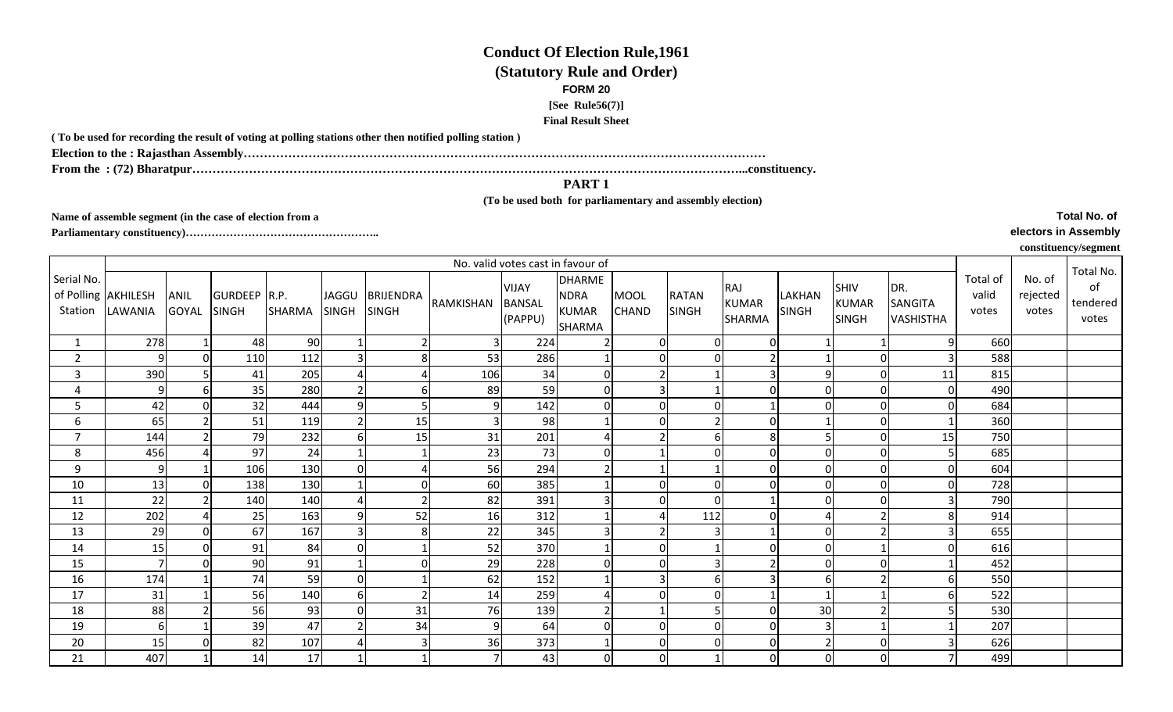## **Conduct Of Election Rule,1961(Statutory Rule and Order)FORM 20[See Rule56(7)]**

**Final Result Sheet**

**( To be used for recording the result of voting at polling stations other then notified polling station )**

**Election to the : Rajasthan Assembly…………………………………………………………………………………………………………………**

**From the : (72) Bharatpur………………………………………………………………………………………………………………………...constituency.**

## **PART 1**

## **(To be used both for parliamentary and assembly election)**

**Name of assemble segment (in the case of election from a** 

**Parliamentary constituency)……………………………………………..** 

**Total No. of** 

**electors in Assembly**

## **constituency/segment**

|                       | No. valid votes cast in favour of |                             |                              |               |                |                                 |                |                                          |                                                        |                             |                       |                                      |                        |                                             |                                           |                            |                             |                                      |
|-----------------------|-----------------------------------|-----------------------------|------------------------------|---------------|----------------|---------------------------------|----------------|------------------------------------------|--------------------------------------------------------|-----------------------------|-----------------------|--------------------------------------|------------------------|---------------------------------------------|-------------------------------------------|----------------------------|-----------------------------|--------------------------------------|
| Serial No.<br>Station | of Polling AKHILESH<br>LAWANIA    | <b>ANIL</b><br><b>GOYAL</b> | GURDEEP R.P.<br><b>SINGH</b> | <b>SHARMA</b> | <b>SINGH</b>   | JAGGU BRIJENDRA<br><b>SINGH</b> | RAMKISHAN      | <b>VIJAY</b><br><b>BANSAL</b><br>(PAPPU) | <b>DHARME</b><br><b>NDRA</b><br><b>KUMAR</b><br>SHARMA | <b>MOOL</b><br><b>CHAND</b> | <b>RATAN</b><br>SINGH | RAJ<br><b>KUMAR</b><br><b>SHARMA</b> | LAKHAN<br><b>SINGH</b> | <b>SHIV</b><br><b>KUMAR</b><br><b>SINGH</b> | DR.<br><b>SANGITA</b><br><b>VASHISTHA</b> | Total of<br>valid<br>votes | No. of<br>rejected<br>votes | Total No.<br>of<br>tendered<br>votes |
|                       | 278                               |                             | 48                           | 90            |                |                                 | 3              | 224                                      |                                                        | $\Omega$                    |                       |                                      |                        |                                             | 9                                         | 660                        |                             |                                      |
| $\overline{2}$        | 9                                 | $\Omega$                    | 110                          | 112           | $\overline{3}$ | 8                               | 53             | 286                                      |                                                        | $\Omega$                    |                       |                                      |                        | $\overline{0}$                              | 3                                         | 588                        |                             |                                      |
| 3                     | 390                               |                             | 41                           | 205           | $\overline{a}$ |                                 | 106            | 34                                       | $\Omega$                                               |                             |                       |                                      | 9                      | $\overline{0}$                              | 11                                        | 815                        |                             |                                      |
| 4                     | 9                                 | 6                           | 35                           | 280           | 2              | 61                              | 89             | 59                                       | $\Omega$                                               |                             |                       |                                      | $\Omega$               | $\overline{0}$                              | $\Omega$                                  | 490                        |                             |                                      |
| 5                     | 42                                |                             | 32                           | 444           | $\overline{9}$ |                                 | 9              | 142                                      | $\Omega$                                               |                             |                       |                                      | $\Omega$               | $\overline{0}$                              | 0                                         | 684                        |                             |                                      |
| 6                     | 65                                |                             | 51                           | 119           | $\overline{2}$ | 15                              | $\overline{3}$ | 98                                       |                                                        | $\Omega$                    | $\overline{2}$        |                                      |                        | $\overline{0}$                              |                                           | 360                        |                             |                                      |
| $\overline{7}$        | 144                               |                             | 79                           | 232           | 6              | 15                              | 31             | 201                                      |                                                        |                             | 6                     | 8 <sup>1</sup>                       |                        | $\overline{0}$                              | 15                                        | 750                        |                             |                                      |
| 8                     | 456                               |                             | 97                           | 24            |                |                                 | 23             | 73                                       | $\Omega$                                               |                             |                       |                                      | $\Omega$               | $\overline{0}$                              |                                           | 685                        |                             |                                      |
| 9                     | 9                                 |                             | 106                          | 130           | $\Omega$       | Δ                               | 56             | 294                                      |                                                        |                             |                       |                                      | $\Omega$               | $\overline{0}$                              | $\Omega$                                  | 604                        |                             |                                      |
| 10                    | 13                                |                             | 138                          | 130           |                | $\overline{0}$                  | 60             | 385                                      |                                                        |                             | $\Omega$              |                                      | $\Omega$               | $\overline{0}$                              | O                                         | 728                        |                             |                                      |
| 11                    | 22                                |                             | 140                          | 140           | $\overline{a}$ | 2                               | 82             | 391                                      |                                                        | $\Omega$                    | $\Omega$              |                                      | $\Omega$               | $\overline{0}$                              |                                           | 790                        |                             |                                      |
| 12                    | 202                               |                             | 25                           | 163           | 9              | 52                              | 16             | 312                                      |                                                        |                             | 112                   |                                      | 4                      | 2                                           | 8                                         | 914                        |                             |                                      |
| 13                    | 29                                | $\Omega$                    | 67                           | 167           | $\overline{3}$ | 8 <sup>1</sup>                  | 22             | 345                                      |                                                        |                             | 3                     |                                      | $\Omega$               | 2                                           |                                           | 655                        |                             |                                      |
| 14                    | 15                                | $\Omega$                    | 91                           | 84            | $\mathbf 0$    |                                 | 52             | 370                                      |                                                        | $\Omega$                    |                       |                                      | $\Omega$               |                                             | 0                                         | 616                        |                             |                                      |
| 15                    |                                   | $\Omega$                    | 90                           | 91            |                | $\Omega$                        | 29             | 228                                      | $\Omega$                                               | $\Omega$                    | 3                     |                                      | $\Omega$               | $\Omega$                                    |                                           | 452                        |                             |                                      |
| 16                    | 174                               |                             | 74                           | 59            | $\Omega$       |                                 | 62             | 152                                      |                                                        |                             | 6 <sup>1</sup>        |                                      | 6                      | $\mathcal{P}$                               | 6                                         | 550                        |                             |                                      |
| 17                    | 31                                |                             | 56                           | 140           | 6              |                                 | 14             | 259                                      |                                                        |                             |                       |                                      |                        |                                             |                                           | 522                        |                             |                                      |
| 18                    | 88                                |                             | 56                           | 93            | $\Omega$       | 31                              | 76             | 139                                      |                                                        |                             | 5                     |                                      | 30                     | $\overline{2}$                              |                                           | 530                        |                             |                                      |
| 19                    | 6                                 |                             | 39                           | 47            | $\overline{2}$ | 34                              | $\overline{9}$ | 64                                       | $\Omega$                                               | $\Omega$                    |                       |                                      | 3                      |                                             |                                           | 207                        |                             |                                      |
| 20                    | 15                                |                             | 82                           | 107           |                | $\vert$ 3                       | 36             | 373                                      |                                                        | 0                           |                       | $\mathbf 0$                          | $\overline{2}$         | $\overline{0}$                              |                                           | 626                        |                             |                                      |
| 21                    | 407                               |                             | 14                           | 17            |                |                                 | $\overline{7}$ | 43                                       | $\Omega$                                               | $\Omega$                    |                       |                                      | $\mathbf 0$            | $\overline{0}$                              |                                           | 499                        |                             |                                      |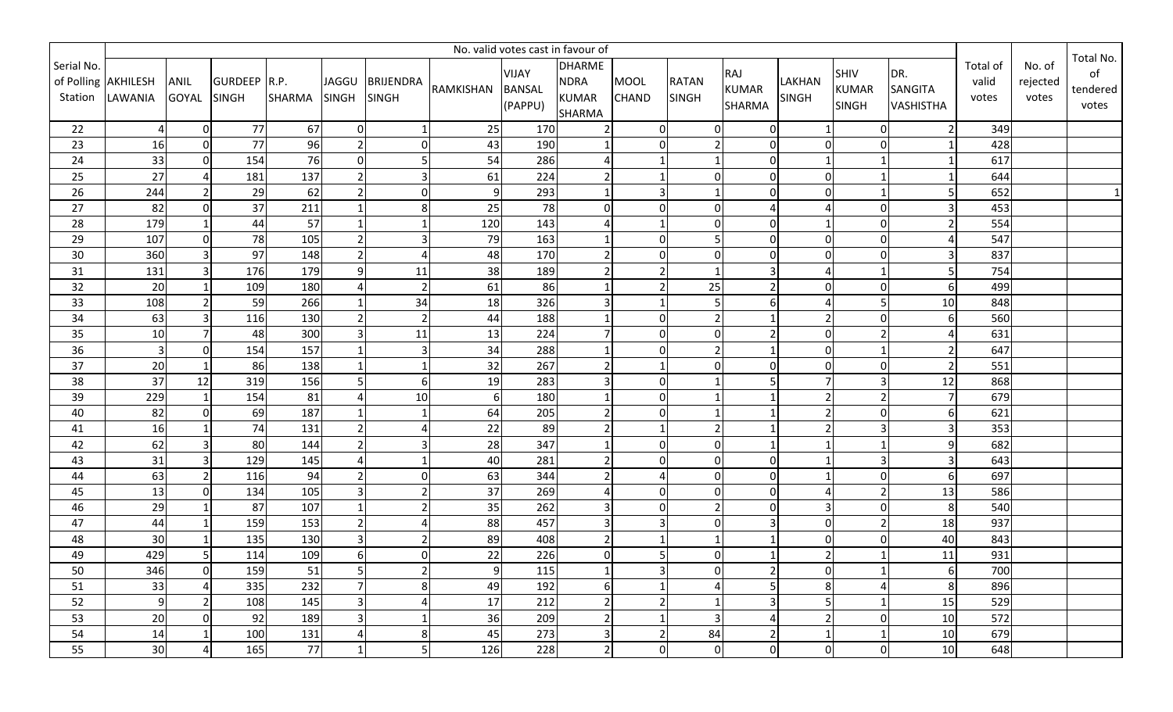|                 | No. valid votes cast in favour of |                         |                 |               |                        |                  |                  |                          |                               |                |                |                               |                |                              |                             |                   |                    |                   |
|-----------------|-----------------------------------|-------------------------|-----------------|---------------|------------------------|------------------|------------------|--------------------------|-------------------------------|----------------|----------------|-------------------------------|----------------|------------------------------|-----------------------------|-------------------|--------------------|-------------------|
| Serial No.      | of Polling AKHILESH               | ANIL                    | GURDEEP R.P.    |               | JAGGU                  | <b>BRIJENDRA</b> |                  | VIJAY                    | <b>DHARME</b><br><b>NDRA</b>  | <b>MOOL</b>    | <b>RATAN</b>   | RAJ                           | <b>LAKHAN</b>  | SHIV                         | DR.                         | Total of<br>valid | No. of<br>rejected | Total No.<br>of   |
| Station         | LAWANIA                           | <b>GOYAL</b>            | <b>SINGH</b>    | <b>SHARMA</b> | <b>SINGH</b>           | SINGH            | RAMKISHAN        | <b>BANSAL</b><br>(PAPPU) | <b>KUMAR</b><br><b>SHARMA</b> | <b>CHAND</b>   | <b>SINGH</b>   | <b>KUMAR</b><br><b>SHARMA</b> | <b>SINGH</b>   | <b>KUMAR</b><br><b>SINGH</b> | SANGITA<br><b>VASHISTHA</b> | votes             | votes              | tendered<br>votes |
| 22              | $\overline{4}$                    | $\overline{0}$          | 77              | 67            | $\mathbf 0$            | $\mathbf{1}$     | 25               | 170                      |                               | $\mathbf 0$    | $\overline{0}$ | $\overline{0}$                | 1              | 0                            | $\overline{2}$              | 349               |                    |                   |
| 23              | 16                                | $\overline{0}$          | 77              | 96            | $\overline{2}$         | $\overline{0}$   | 43               | 190                      |                               | $\mathbf 0$    | $\overline{2}$ | $\overline{0}$                | $\overline{0}$ | $\mathbf 0$                  |                             | 428               |                    |                   |
| 24              | 33                                | $\overline{0}$          | 154             | 76            | $\mathbf 0$            |                  | 54               | 286                      |                               |                | $\mathbf{1}$   | $\overline{0}$                | $\mathbf{1}$   | 1                            |                             | 617               |                    |                   |
| 25              | 27                                | 4                       | 181             | 137           | $\overline{2}$         | $\overline{3}$   | 61               | 224                      |                               |                | $\overline{0}$ | $\overline{0}$                | $\Omega$       | $\mathbf{1}$                 |                             | 644               |                    |                   |
| 26              | 244                               | $\overline{2}$          | 29              | 62            | $\overline{2}$         | $\pmb{0}$        | $\overline{9}$   | 293                      |                               | $\overline{3}$ | $\mathbf{1}$   | $\mathbf 0$                   | $\Omega$       | $\mathbf{1}$                 |                             | 652               |                    |                   |
| 27              | 82                                | $\overline{0}$          | 37              | 211           | $\mathbf{1}$           | 8                | 25               | 78                       |                               | $\Omega$       | $\overline{0}$ |                               | 4              | $\mathbf 0$                  | $\mathbf{a}$                | 453               |                    |                   |
| 28              | 179                               |                         | 44              | 57            |                        |                  | 120              | 143                      |                               |                | $\overline{0}$ | $\Omega$                      | $\mathbf{1}$   | $\pmb{0}$                    |                             | 554               |                    |                   |
| 29              | 107                               | $\overline{0}$          | 78              | 105           | $\overline{2}$         | 3                | 79               | 163                      |                               | $\Omega$       | 5              | $\mathbf 0$                   | $\mathbf 0$    | $\mathbf 0$                  | Δ                           | 547               |                    |                   |
| 30              | 360                               | $\overline{3}$          | 97              | 148           | $\overline{2}$         | Δ                | 48               | 170                      |                               | 0              | $\overline{0}$ | $\overline{0}$                | $\overline{0}$ | $\pmb{0}$                    | 3                           | 837               |                    |                   |
| 31              | 131                               | $\overline{\mathsf{3}}$ | 176             | 179           | 9                      | 11               | 38               | 189                      |                               | $\overline{2}$ | $\mathbf{1}$   | 3                             | $\overline{4}$ | $\mathbf{1}$                 | 5                           | 754               |                    |                   |
| 32              | 20                                |                         | 109             | 180           | $\boldsymbol{\Lambda}$ | $\overline{2}$   | 61               | 86                       |                               | $\overline{2}$ | 25             |                               | 0              | $\pmb{0}$                    | 61                          | 499               |                    |                   |
| 33              | 108                               | $\overline{2}$          | 59              | 266           |                        | 34               | 18               | 326                      |                               |                | 5              | 6                             | $\overline{A}$ | 5                            | 10                          | 848               |                    |                   |
| 34              | 63                                | 31                      | 116             | 130           | $\overline{2}$         |                  | 44               | 188                      |                               | $\Omega$       | $\mathbf{2}$   |                               | $\overline{2}$ | $\mathbf 0$                  |                             | 560               |                    |                   |
| 35              | 10                                | $\overline{ }$          | 48              | 300           | $\overline{3}$         | 11               | 13               | 224                      |                               | $\Omega$       | $\overline{0}$ |                               | $\mathbf 0$    | $\overline{2}$               |                             | 631               |                    |                   |
| 36              | $\overline{\mathbf{3}}$           | $\Omega$                | 154             | 157           |                        | 3                | 34               | 288                      |                               | $\Omega$       | $\overline{2}$ |                               | $\overline{0}$ |                              | $\overline{2}$              | 647               |                    |                   |
| $\overline{37}$ | 20                                |                         | 86              | 138           | $\overline{1}$         |                  | 32               | 267                      |                               |                | $\overline{0}$ | $\Omega$                      | $\Omega$       | $\Omega$                     | $\overline{2}$              | 551               |                    |                   |
| 38              | 37                                | 12                      | 319             | 156           | 5                      | 6                | 19               | 283                      |                               | $\Omega$       | $\mathbf{1}$   |                               | 7 <sup>1</sup> | 3                            | 12                          | 868               |                    |                   |
| 39              | 229                               |                         | 154             | 81            | $\Delta$               | 10               | $\boldsymbol{6}$ | 180                      |                               | $\Omega$       | $\mathbf{1}$   |                               | $\overline{2}$ | $\overline{2}$               |                             | 679               |                    |                   |
| 40              | 82                                | $\Omega$                | 69              | 187           | $\mathbf 1$            |                  | 64               | 205                      |                               | $\Omega$       | $\mathbf{1}$   |                               | $\overline{2}$ | 0                            | 6                           | 621               |                    |                   |
| 41              | 16                                |                         | $\overline{74}$ | 131           | $\overline{2}$         |                  | 22               | 89                       |                               |                | $\overline{2}$ |                               | $\overline{2}$ | 3                            |                             | 353               |                    |                   |
| 42              | 62                                | $\overline{\mathsf{3}}$ | 80              | 144           | $\overline{2}$         | 3                | 28               | 347                      |                               | $\mathbf 0$    | $\overline{0}$ |                               | $\mathbf{1}$   | $1\,$                        | 9                           | 682               |                    |                   |
| 43              | 31                                | 3                       | 129             | 145           | $\boldsymbol{\Delta}$  |                  | 40               | 281                      |                               | $\Omega$       | $\overline{0}$ | $\Omega$                      | $\mathbf{1}$   | $\overline{3}$               | 3                           | 643               |                    |                   |
| 44              | 63                                | 2                       | 116             | 94            | $\overline{2}$         | $\overline{0}$   | 63               | 344                      |                               | 4              | $\overline{0}$ | $\overline{0}$                | $\mathbf{1}$   | $\pmb{0}$                    | 6                           | 697               |                    |                   |
| 45              | 13                                | $\overline{0}$          | 134             | 105           | $\overline{3}$         |                  | 37               | 269                      |                               | $\Omega$       | $\overline{0}$ | $\overline{0}$                | $\overline{4}$ | $\mathbf 2$                  | 13                          | 586               |                    |                   |
| 46              | 29                                |                         | 87              | 107           | $\mathbf{1}$           | $\overline{2}$   | 35               | 262                      |                               | $\Omega$       | $\overline{2}$ | $\overline{0}$                | $\overline{3}$ | $\pmb{0}$                    | 8                           | 540               |                    |                   |
| 47              | 44                                |                         | 159             | 153           | $\overline{2}$         |                  | 88               | 457                      |                               | $\overline{3}$ | $\overline{0}$ | 3                             | $\overline{0}$ | $\mathbf 2$                  | 18                          | 937               |                    |                   |
| 48              | 30                                |                         | 135             | 130           | $\overline{3}$         | $\overline{2}$   | 89               | 408                      |                               |                | $\mathbf{1}$   |                               | $\mathbf 0$    | $\Omega$                     | 40                          | 843               |                    |                   |
| 49              | 429                               | 5 <sup>1</sup>          | 114             | 109           | 6                      | $\pmb{0}$        | 22               | 226                      |                               | 5              | $\overline{0}$ |                               | $\overline{2}$ | 1                            | 11                          | 931               |                    |                   |
| 50              | 346                               | $\overline{0}$          | 159             | 51            | 5                      | $\overline{2}$   | 9                | 115                      |                               | 3              | $\overline{0}$ | $\overline{2}$                | 0              | $\mathbf{1}$                 | 61                          | 700               |                    |                   |
| 51              | 33                                | 4                       | 335             | 232           | $\overline{7}$         | 8                | 49               | 192                      | 6                             |                | 4              | 5                             | 8              | $\sqrt{4}$                   | 8                           | 896               |                    |                   |
| 52              | $\overline{9}$                    | $2 \overline{ }$        | 108             | 145           | $\overline{3}$         | $\overline{A}$   | 17               | 212                      |                               | $\overline{2}$ | 1              | 3                             | 5              | $\mathbf{1}$                 | 15                          | 529               |                    |                   |
| 53              | 20                                | $\overline{0}$          | 92              | 189           | 3                      | $\mathbf{1}$     | 36               | 209                      |                               |                | $\overline{3}$ | 4                             | $\overline{2}$ | $\boldsymbol{0}$             | 10                          | 572               |                    |                   |
| 54              | 14                                |                         | 100             | 131           | $\overline{4}$         | 8                | 45               | 273                      |                               | $\overline{2}$ | 84             | $\overline{2}$                | -1             | $\mathbf{1}$                 | 10                          | 679               |                    |                   |
| 55              | 30                                | $\overline{4}$          | 165             | 77            | $\mathbf{1}$           | 5                | 126              | 228                      | $\overline{2}$                | 0              | $\overline{0}$ | $\overline{0}$                | 0              | $\overline{0}$               | 10                          | 648               |                    |                   |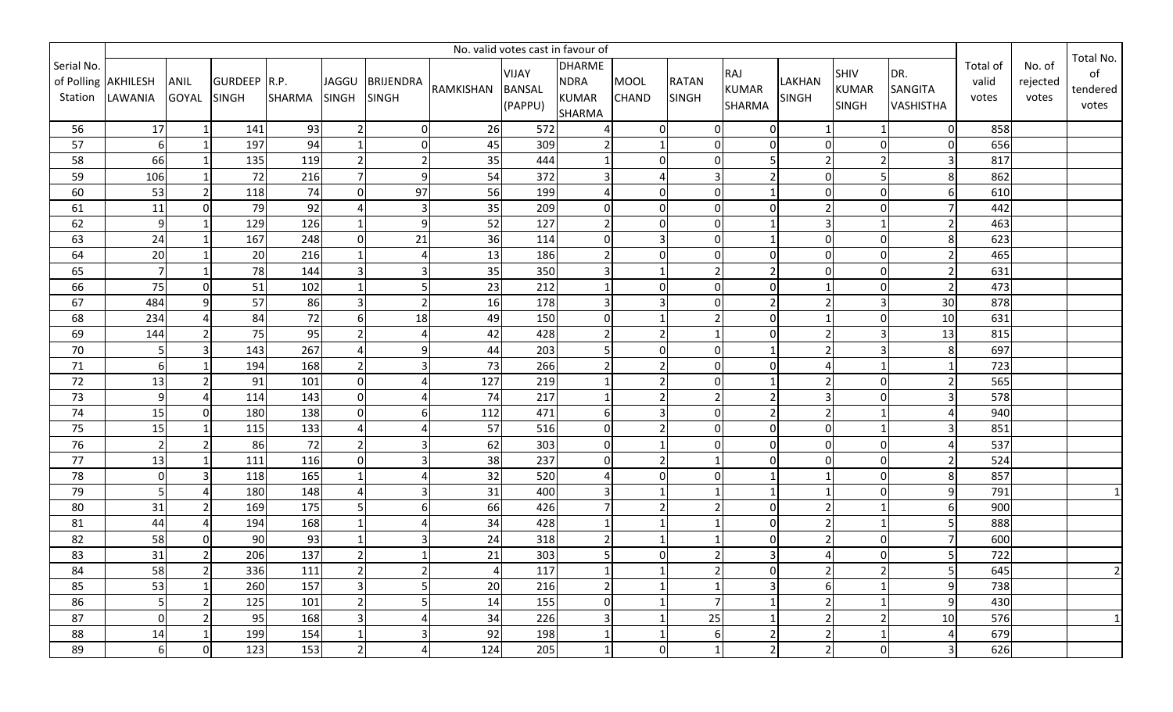|                 | No. valid votes cast in favour of |                         |              |               |                |                  |                |               |               |                          |                |                |                  |                |                  |          |          |                 |
|-----------------|-----------------------------------|-------------------------|--------------|---------------|----------------|------------------|----------------|---------------|---------------|--------------------------|----------------|----------------|------------------|----------------|------------------|----------|----------|-----------------|
| Serial No.      |                                   |                         |              |               |                |                  |                | VIJAY         | <b>DHARME</b> |                          |                | RAJ            |                  | SHIV           | DR.              | Total of | No. of   | Total No.<br>of |
|                 | of Polling AKHILESH               | ANIL                    | GURDEEP R.P. |               | JAGGU          | <b>BRIJENDRA</b> | RAMKISHAN      | <b>BANSAL</b> | <b>NDRA</b>   | <b>MOOL</b>              | <b>RATAN</b>   | <b>KUMAR</b>   | <b>LAKHAN</b>    | <b>KUMAR</b>   | SANGITA          | valid    | rejected | tendered        |
| Station         | LAWANIA                           | <b>GOYAL</b>            | <b>SINGH</b> | <b>SHARMA</b> | <b>SINGH</b>   | SINGH            |                | (PAPPU)       | <b>KUMAR</b>  | <b>CHAND</b>             | <b>SINGH</b>   | <b>SHARMA</b>  | <b>SINGH</b>     | <b>SINGH</b>   | <b>VASHISTHA</b> | votes    | votes    | votes           |
|                 |                                   |                         |              |               |                |                  |                |               | <b>SHARMA</b> |                          |                |                |                  |                |                  |          |          |                 |
| 56              | 17                                |                         | 141          | 93            | $\overline{2}$ | $\overline{0}$   | 26             | 572           |               | $\mathbf 0$              | $\overline{0}$ | $\overline{0}$ | 1                |                | 01               | 858      |          |                 |
| 57              | 6                                 |                         | 197          | 94            |                | $\overline{0}$   | 45             | 309           |               |                          | $\overline{0}$ | $\overline{0}$ | $\overline{0}$   | $\Omega$       | $\Omega$         | 656      |          |                 |
| 58              | 66                                |                         | 135          | 119           | $\overline{2}$ | $\overline{2}$   | 35             | 444           |               | $\Omega$                 | $\overline{0}$ | 5              | $\overline{2}$   | $\overline{2}$ | 3                | 817      |          |                 |
| 59              | 106                               |                         | 72           | 216           | $\overline{7}$ | 9                | 54             | 372           |               | $\Delta$                 | $\overline{3}$ |                | $\mathbf 0$      | 5              | 8                | 862      |          |                 |
| 60              | 53                                | $\overline{2}$          | 118          | 74            | $\Omega$       | 97               | 56             | 199           |               | $\Omega$                 | $\overline{0}$ |                | $\boldsymbol{0}$ | $\pmb{0}$      |                  | 610      |          |                 |
| 61              | 11                                | $\overline{0}$          | 79           | 92            | $\Delta$       | 3                | 35             | 209           |               | $\Omega$                 | $\overline{0}$ | $\Omega$       | $\overline{2}$   | $\mathbf 0$    |                  | 442      |          |                 |
| 62              | 9                                 |                         | 129          | 126           |                | 9                | 52             | 127           |               | 0                        | $\overline{0}$ |                | $\overline{3}$   | 1              | $\overline{2}$   | 463      |          |                 |
| 63              | 24                                |                         | 167          | 248           | $\mathbf 0$    | 21               | 36             | 114           |               | 3                        | $\overline{0}$ |                | $\mathbf 0$      | $\mathbf 0$    | 8                | 623      |          |                 |
| 64              | 20                                |                         | 20           | 216           | $\overline{1}$ |                  | 13             | 186           |               | $\Omega$                 | $\overline{0}$ | $\overline{0}$ | $\overline{0}$   | $\overline{0}$ | 2                | 465      |          |                 |
| 65              | 7 <sup>1</sup>                    |                         | 78           | 144           | $\overline{3}$ | 3                | 35             | 350           |               |                          | $\overline{2}$ | $\overline{2}$ | $\mathbf 0$      | $\overline{0}$ | $\overline{2}$   | 631      |          |                 |
| 66              | 75                                | $\Omega$                | 51           | 102           | $\mathbf{1}$   | 5                | 23             | 212           |               | $\Omega$                 | $\overline{0}$ | $\overline{0}$ | $\mathbf{1}$     | $\pmb{0}$      | 2                | 473      |          |                 |
| 67              | 484                               | 9 <sup>1</sup>          | 57           | 86            | $\overline{3}$ |                  | 16             | 178           |               | 3                        | $\overline{0}$ |                | $\overline{2}$   | $\mathsf 3$    | 30               | 878      |          |                 |
| 68              | 234                               | 4                       | 84           | 72            | 6              | 18               | 49             | 150           | U             |                          | $\overline{2}$ | $\overline{0}$ | $\mathbf{1}$     | $\pmb{0}$      | 10               | 631      |          |                 |
| 69              | 144                               | 21                      | 75           | 95            | $\overline{2}$ |                  | 42             | 428           |               | $\overline{\phantom{a}}$ | $\mathbf{1}$   | $\Omega$       | $\overline{2}$   | 3              | 13               | 815      |          |                 |
| $70\,$          | 5 <sup>1</sup>                    | $\overline{\mathbf{3}}$ | 143          | 267           | $\Delta$       | 9                | 44             | 203           |               | $\Omega$                 | $\overline{0}$ |                | $\overline{2}$   | 3              | 8                | 697      |          |                 |
| $\overline{71}$ | 6                                 |                         | 194          | 168           | $\overline{2}$ |                  | 73             | 266           |               | $\mathcal{P}$            | $\overline{0}$ | $\Omega$       | Δ                |                |                  | 723      |          |                 |
| $\overline{72}$ | 13                                | 2 <sup>1</sup>          | 91           | 101           | $\Omega$       |                  | 127            | 219           |               | $\overline{2}$           | $\overline{0}$ |                | $\overline{2}$   | 0              | $\overline{2}$   | 565      |          |                 |
| 73              | 9                                 |                         | 114          | 143           | $\mathbf 0$    |                  | 74             | 217           |               | $\overline{\phantom{a}}$ | $\overline{2}$ |                | $\overline{3}$   | $\Omega$       |                  | 578      |          |                 |
| $74\,$          | 15                                | $\Omega$                | 180          | 138           | $\Omega$       | 6                | 112            | 471           | 6             | $\overline{3}$           | $\overline{0}$ |                | $\overline{2}$   |                | Δ                | 940      |          |                 |
| 75              | 15                                |                         | 115          | 133           | $\Delta$       |                  | 57             | 516           |               | $\overline{2}$           | $\overline{0}$ | $\Omega$       | $\mathbf 0$      | $\mathbf{1}$   |                  | 851      |          |                 |
| 76              | 2 <sup>1</sup>                    | 2 <sup>1</sup>          | 86           | 72            | $\overline{2}$ | 3                | 62             | 303           | $\Omega$      |                          | $\overline{0}$ | $\overline{0}$ | $\overline{0}$   | $\pmb{0}$      |                  | 537      |          |                 |
| $77\,$          | 13                                |                         | 111          | 116           | $\mathbf 0$    |                  | 38             | 237           |               | $\overline{2}$           | $\mathbf{1}$   | $\Omega$       | 0                | $\mathbf 0$    | $\mathcal{P}$    | 524      |          |                 |
| 78              | $\overline{0}$                    | $\overline{\mathsf{3}}$ | 118          | 165           | $\overline{1}$ |                  | 32             | 520           |               | $\mathbf 0$              | $\overline{0}$ |                | $\mathbf{1}$     | $\pmb{0}$      | 8                | 857      |          |                 |
| 79              | 5 <sup>1</sup>                    | 4                       | 180          | 148           | $\overline{A}$ |                  | 31             | 400           |               |                          | $\mathbf{1}$   |                | $\mathbf{1}$     | $\mathbf 0$    | 9                | 791      |          |                 |
| 80              | 31                                | 2                       | 169          | 175           | 5              | 6                | 66             | 426           |               | $\overline{2}$           | $\overline{2}$ | $\overline{0}$ | $\overline{2}$   | $1\,$          | 6                | 900      |          |                 |
| 81              | 44                                | 4                       | 194          | 168           | $\overline{1}$ |                  | 34             | 428           |               |                          | $\mathbf{1}$   | $\overline{0}$ | $\overline{2}$   | $\mathbf{1}$   |                  | 888      |          |                 |
| 82              | 58                                | $\Omega$                | 90           | 93            | $\overline{1}$ | 3                | 24             | 318           |               |                          | $\mathbf{1}$   | $\overline{0}$ | $\overline{2}$   | $\Omega$       |                  | 600      |          |                 |
| 83              | 31                                | 2                       | 206          | 137           | $\overline{2}$ |                  | 21             | 303           |               | $\mathbf 0$              | $\overline{2}$ | 3              | 4                | $\mathbf 0$    | 5                | 722      |          |                 |
| 84              | 58                                | $\overline{2}$          | 336          | 111           | $\overline{2}$ | $\overline{2}$   | $\overline{4}$ | 117           |               |                          | $\overline{2}$ | $\overline{0}$ | $\overline{2}$   | $\overline{2}$ | 5                | 645      |          | $\overline{2}$  |
| 85              | 53                                |                         | 260          | 157           | $\overline{3}$ | 5                | 20             | 216           |               |                          | 1              | $\overline{3}$ | $6 \mid$         | $\mathbf{1}$   | 9                | 738      |          |                 |
| 86              | 5                                 | 2                       | 125          | 101           | $\overline{2}$ | 5                | 14             | 155           | <sup>0</sup>  | $\mathbf 1$              | $\overline{7}$ | 1              | $\overline{2}$   | $1\,$          | 9                | 430      |          |                 |
| 87              | $\overline{0}$                    | 2                       | 95           | 168           | 3              | 4                | 34             | 226           |               |                          | 25             |                | $\overline{2}$   | $\mathbf 2$    | 10               | 576      |          |                 |
| 88              | 14                                |                         | 199          | 154           | $\mathbf{1}$   | 3                | 92             | 198           |               |                          | $6 \mid$       | $\overline{2}$ | $\overline{2}$   | $\mathbf 1$    | 4                | 679      |          |                 |
| 89              | 6                                 | $\overline{0}$          | 123          | 153           | $\overline{2}$ | $\overline{4}$   | 124            | 205           |               | 0                        | $\mathbf{1}$   | $\overline{2}$ | $\overline{2}$   | $\overline{0}$ | 3                | 626      |          |                 |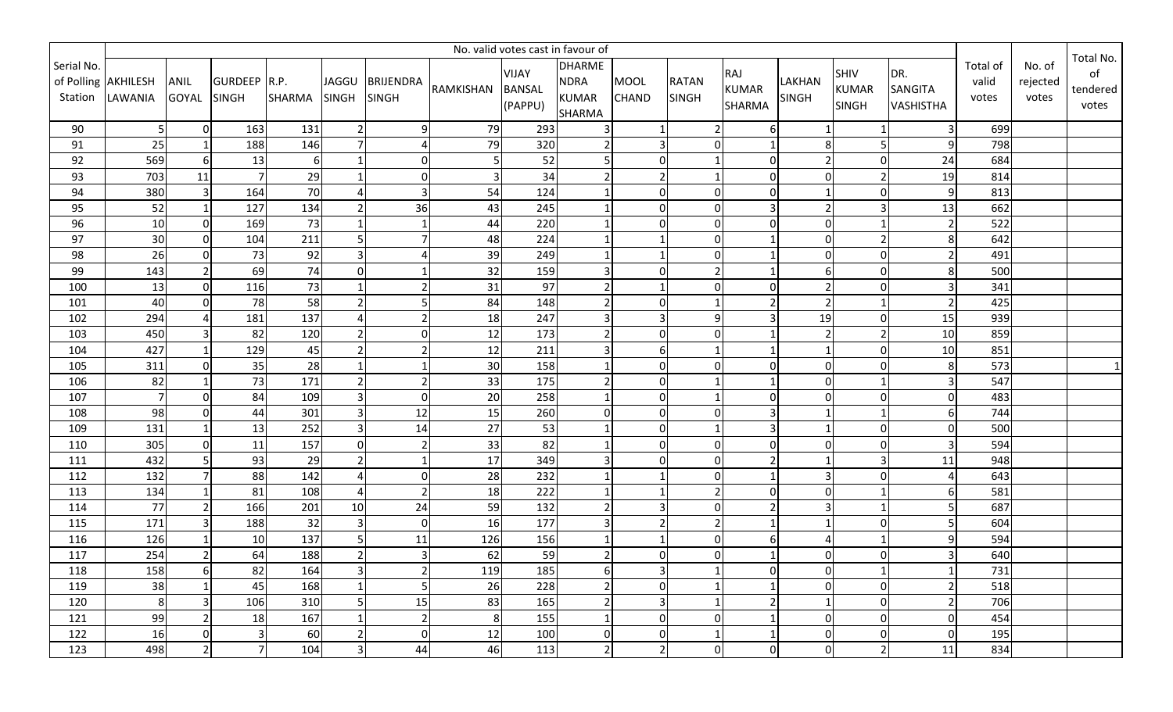|                       | No. valid votes cast in favour of |                         |                              |               |                              |                           |           |                                   |                                                               |                             |                              |                                      |                               |                                      |                                    |                            |                             |                                      |
|-----------------------|-----------------------------------|-------------------------|------------------------------|---------------|------------------------------|---------------------------|-----------|-----------------------------------|---------------------------------------------------------------|-----------------------------|------------------------------|--------------------------------------|-------------------------------|--------------------------------------|------------------------------------|----------------------------|-----------------------------|--------------------------------------|
| Serial No.<br>Station | of Polling AKHILESH<br>LAWANIA    | ANIL<br><b>GOYAL</b>    | GURDEEP R.P.<br><b>SINGH</b> | <b>SHARMA</b> | <b>JAGGU</b><br><b>SINGH</b> | <b>BRIJENDRA</b><br>SINGH | RAMKISHAN | VIJAY<br><b>BANSAL</b><br>(PAPPU) | <b>DHARME</b><br><b>NDRA</b><br><b>KUMAR</b><br><b>SHARMA</b> | <b>MOOL</b><br><b>CHAND</b> | <b>RATAN</b><br><b>SINGH</b> | RAJ<br><b>KUMAR</b><br><b>SHARMA</b> | <b>LAKHAN</b><br><b>SINGH</b> | SHIV<br><b>KUMAR</b><br><b>SINGH</b> | DR.<br>SANGITA<br><b>VASHISTHA</b> | Total of<br>valid<br>votes | No. of<br>rejected<br>votes | Total No.<br>of<br>tendered<br>votes |
| 90                    | 5 <sub>l</sub>                    | 0                       | 163                          | 131           | $\overline{2}$               | 9                         | 79        | 293                               |                                                               | $\mathbf{1}$                | $\overline{2}$               | 6 <sup>1</sup>                       | 1                             |                                      | 3                                  | 699                        |                             |                                      |
| 91                    | 25                                |                         | 188                          | 146           | $\overline{7}$               |                           | 79        | 320                               |                                                               | 3                           | $\overline{0}$               |                                      | 8                             | 5                                    | $\mathsf{q}$                       | 798                        |                             |                                      |
| 92                    | 569                               | $6 \mid$                | 13                           | 6             |                              | $\mathbf 0$               | 5         | 52                                |                                                               | $\Omega$                    | $\mathbf{1}$                 | $\Omega$                             | $\overline{2}$                | $\mathbf 0$                          | 24                                 | 684                        |                             |                                      |
| 93                    | 703                               | 11                      |                              | 29            | $\mathbf{1}$                 | $\overline{0}$            | 3         | 34                                |                                                               | $\overline{2}$              | $\mathbf{1}$                 | $\overline{0}$                       | $\Omega$                      | $\overline{2}$                       | 19                                 | 814                        |                             |                                      |
| 94                    | 380                               | $\overline{3}$          | 164                          | 70            | $\Delta$                     | $\overline{3}$            | 54        | 124                               |                                                               | $\Omega$                    | $\overline{0}$               | $\mathbf 0$                          | $\mathbf{1}$                  | $\mathbf{0}$                         | 9                                  | 813                        |                             |                                      |
| 95                    | 52                                |                         | 127                          | 134           | $\overline{2}$               | 36                        | 43        | 245                               |                                                               | $\Omega$                    | $\overline{0}$               | 3                                    | $\overline{2}$                | $\overline{3}$                       | 13                                 | 662                        |                             |                                      |
| 96                    | 10                                | $\overline{0}$          | 169                          | 73            |                              |                           | 44        | 220                               |                                                               | $\Omega$                    | $\overline{0}$               | $\Omega$                             | $\boldsymbol{0}$              | $\mathbf{1}$                         | 2                                  | 522                        |                             |                                      |
| 97                    | 30                                | $\overline{0}$          | 104                          | 211           | 5                            |                           | 48        | 224                               |                                                               |                             | $\overline{0}$               |                                      | $\mathbf 0$                   | $\mathbf 2$                          | 8                                  | 642                        |                             |                                      |
| 98                    | 26                                | $\overline{0}$          | 73                           | 92            | $\overline{3}$               |                           | 39        | 249                               |                                                               |                             | $\overline{0}$               |                                      | $\overline{0}$                | $\pmb{0}$                            | 2                                  | 491                        |                             |                                      |
| 99                    | 143                               | $\overline{2}$          | 69                           | 74            | $\mathbf 0$                  |                           | 32        | 159                               |                                                               | $\Omega$                    | $\overline{2}$               |                                      | 6                             | $\mathbf 0$                          | 8                                  | 500                        |                             |                                      |
| 100                   | 13                                | $\overline{0}$          | 116                          | 73            |                              |                           | 31        | 97                                |                                                               |                             | $\overline{0}$               | $\Omega$                             | $\overline{2}$                | $\mathbf 0$                          | 3                                  | 341                        |                             |                                      |
| 101                   | 40                                | $\overline{0}$          | 78                           | 58            | $\overline{2}$               |                           | 84        | 148                               |                                                               | $\Omega$                    | $\mathbf{1}$                 |                                      | $\overline{2}$                | $\mathbf{1}$                         | $\overline{2}$                     | 425                        |                             |                                      |
| 102                   | 294                               | 4                       | 181                          | 137           | $\Delta$                     |                           | 18        | 247                               |                                                               | 3                           | $\overline{9}$               |                                      | 19                            | $\pmb{0}$                            | 15                                 | 939                        |                             |                                      |
| 103                   | 450                               | 3                       | 82                           | 120           | $\overline{2}$               | $\mathbf{0}$              | 12        | 173                               |                                                               | $\Omega$                    | $\overline{0}$               |                                      | $\overline{2}$                | $\overline{2}$                       | 10                                 | 859                        |                             |                                      |
| 104                   | 427                               |                         | 129                          | 45            | $\overline{2}$               |                           | 12        | 211                               |                                                               | 6                           | $\mathbf{1}$                 |                                      | $\mathbf{1}$                  | 0                                    | 10                                 | 851                        |                             |                                      |
| 105                   | 311                               | $\Omega$                | 35                           | 28            | $\overline{1}$               |                           | 30        | 158                               |                                                               | $\Omega$                    | $\overline{0}$               | U                                    | $\mathbf 0$                   | $\Omega$                             | 8                                  | 573                        |                             |                                      |
| 106                   | 82                                |                         | 73                           | 171           | $\overline{2}$               |                           | 33        | 175                               |                                                               | $\Omega$                    | $\mathbf{1}$                 |                                      | $\overline{0}$                | 1                                    |                                    | 547                        |                             |                                      |
| 107                   | $\overline{7}$                    | ΩI                      | 84                           | 109           | $\overline{3}$               | $\mathbf 0$               | 20        | 258                               |                                                               | $\Omega$                    | $\mathbf{1}$                 | $\Omega$                             | 0                             | $\Omega$                             | $\Omega$                           | 483                        |                             |                                      |
| 108                   | 98                                | $\Omega$                | 44                           | 301           | $\overline{3}$               | 12                        | 15        | 260                               |                                                               | $\Omega$                    | $\overline{0}$               |                                      | $\mathbf{1}$                  |                                      | 6                                  | 744                        |                             |                                      |
| 109                   | 131                               |                         | 13                           | 252           | $\overline{3}$               | 14                        | 27        | 53                                |                                                               | $\Omega$                    | $\mathbf{1}$                 |                                      | $\mathbf{1}$                  | $\mathbf 0$                          | $\Omega$                           | 500                        |                             |                                      |
| 110                   | 305                               | $\overline{0}$          | 11                           | 157           | $\mathbf 0$                  | $\overline{2}$            | 33        | 82                                |                                                               | $\Omega$                    | $\overline{0}$               | $\overline{0}$                       | $\boldsymbol{0}$              | $\pmb{0}$                            | 3                                  | 594                        |                             |                                      |
| 111                   | 432                               | 5                       | 93                           | 29            | $\overline{2}$               | 1                         | 17        | 349                               |                                                               | $\Omega$                    | $\overline{0}$               |                                      | $\mathbf{1}$                  | 3                                    | 11                                 | 948                        |                             |                                      |
| 112                   | 132                               | 7 <sup>1</sup>          | 88                           | 142           | $\overline{A}$               | $\overline{0}$            | 28        | 232                               |                                                               |                             | $\overline{0}$               |                                      | $\overline{3}$                | $\mathbf 0$                          | Δ                                  | 643                        |                             |                                      |
| 113                   | 134                               |                         | 81                           | 108           | $\overline{A}$               | $\overline{2}$            | 18        | 222                               |                                                               |                             | $\overline{2}$               | $\Omega$                             | $\mathbf 0$                   | $\mathbf{1}$                         |                                    | 581                        |                             |                                      |
| 114                   | 77                                | 2                       | 166                          | 201           | 10                           | 24                        | 59        | 132                               |                                                               | 3                           | $\overline{0}$               | $\overline{2}$                       | $\overline{3}$                | $1\,$                                | 5                                  | 687                        |                             |                                      |
| 115                   | 171                               | $\overline{\mathbf{3}}$ | 188                          | 32            | $\overline{3}$               | $\overline{0}$            | 16        | 177                               |                                                               | $\overline{2}$              | $\overline{2}$               |                                      | $\mathbf{1}$                  | $\mathbf 0$                          |                                    | 604                        |                             |                                      |
| 116                   | 126                               |                         | 10                           | 137           | 5                            | 11                        | 126       | 156                               |                                                               |                             | $\overline{0}$               | $6 \mid$                             | $\overline{4}$                | $\mathbf{1}$                         | q                                  | 594                        |                             |                                      |
| 117                   | 254                               | 2                       | 64                           | 188           | $\overline{2}$               | 3                         | 62        | 59                                |                                                               | $\mathbf 0$                 | $\overline{0}$               |                                      | $\mathbf 0$                   | 0                                    | 3                                  | 640                        |                             |                                      |
| 118                   | 158                               | $6 \mid$                | 82                           | 164           | 3                            | $\overline{2}$            | 119       | 185                               | 6                                                             | 3                           | 1                            | $\overline{0}$                       | 0                             | $1\,$                                | -1                                 | 731                        |                             |                                      |
| 119                   | 38                                |                         | 45                           | 168           | $\mathbf{1}$                 | 5                         | 26        | 228                               |                                                               | 0                           | 1                            |                                      | 0                             | $\pmb{0}$                            | 2                                  | 518                        |                             |                                      |
| 120                   | 8 <sup>1</sup>                    | 3 <sup>1</sup>          | 106                          | 310           | 5                            | 15                        | 83        | 165                               |                                                               | 3                           | 1                            | $\overline{2}$                       | $\mathbf{1}$                  | $\mathbf 0$                          | 2                                  | 706                        |                             |                                      |
| 121                   | 99                                | 2                       | 18                           | 167           | $\mathbf 1$                  | 2                         | 8         | 155                               |                                                               | 0                           | $\overline{0}$               |                                      | 0                             | $\boldsymbol{0}$                     | 0                                  | 454                        |                             |                                      |
| 122                   | 16                                | $\overline{0}$          | З                            | 60            | $\overline{2}$               | $\mathbf 0$               | 12        | 100                               |                                                               | 0                           | 1                            |                                      | 0                             | $\boldsymbol{0}$                     | 0                                  | 195                        |                             |                                      |
| 123                   | 498                               | 2                       | 7                            | 104           | $\overline{3}$               | 44                        | 46        | 113                               | 2                                                             | $\overline{2}$              | $\overline{0}$               | $\overline{0}$                       | 0                             | $\overline{2}$                       | 11                                 | 834                        |                             |                                      |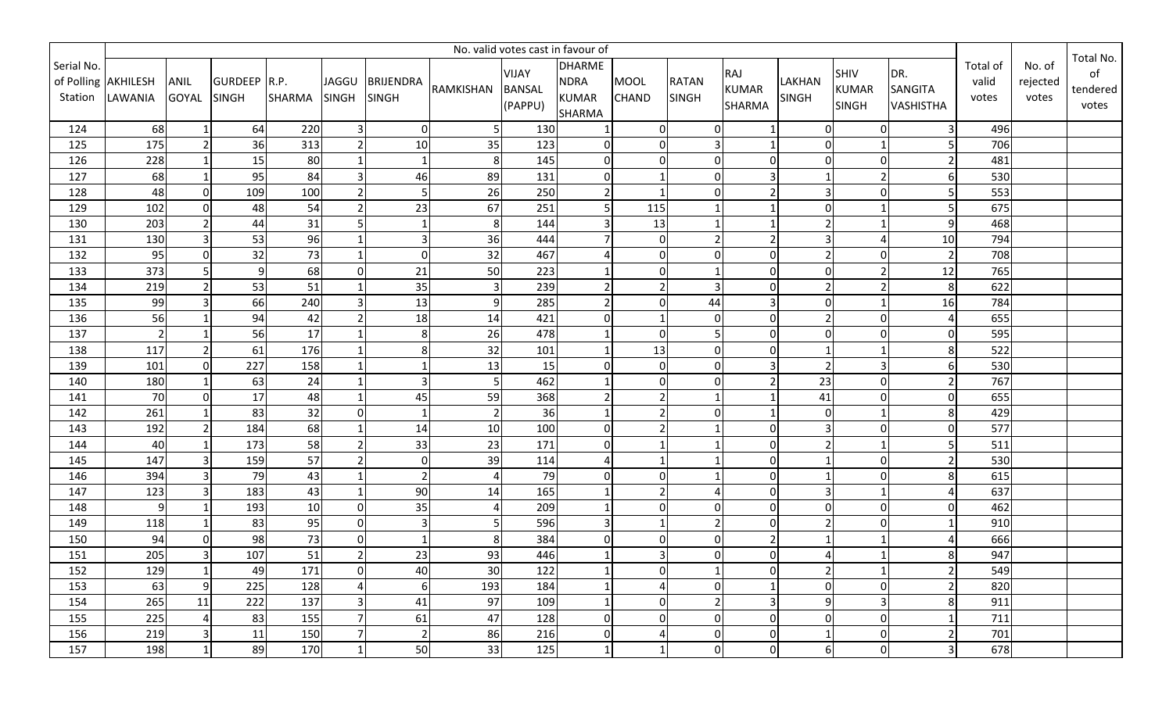|                       | No. valid votes cast in favour of |                      |                              |               |                              |                           |                |                                          |                                                               |                             |                              |                               |                        |                                      |                                    |                            |                             |                                      |
|-----------------------|-----------------------------------|----------------------|------------------------------|---------------|------------------------------|---------------------------|----------------|------------------------------------------|---------------------------------------------------------------|-----------------------------|------------------------------|-------------------------------|------------------------|--------------------------------------|------------------------------------|----------------------------|-----------------------------|--------------------------------------|
| Serial No.<br>Station | of Polling AKHILESH<br>LAWANIA    | ANIL<br><b>GOYAL</b> | GURDEEP R.P.<br><b>SINGH</b> | <b>SHARMA</b> | <b>JAGGU</b><br><b>SINGH</b> | <b>BRIJENDRA</b><br>SINGH | RAMKISHAN      | <b>VIJAY</b><br><b>BANSAL</b><br>(PAPPU) | <b>DHARME</b><br><b>NDRA</b><br><b>KUMAR</b><br><b>SHARMA</b> | <b>MOOL</b><br><b>CHAND</b> | <b>RATAN</b><br><b>SINGH</b> | RAJ<br><b>KUMAR</b><br>SHARMA | LAKHAN<br><b>SINGH</b> | SHIV<br><b>KUMAR</b><br><b>SINGH</b> | DR.<br>SANGITA<br><b>VASHISTHA</b> | Total of<br>valid<br>votes | No. of<br>rejected<br>votes | Total No.<br>of<br>tendered<br>votes |
| 124                   | 68                                |                      | 64                           | 220           | 3                            | $\overline{0}$            | 5              | 130                                      |                                                               | $\mathbf 0$                 | $\Omega$                     |                               | $\overline{0}$         | $\mathbf 0$                          | 3                                  | 496                        |                             |                                      |
| 125                   | 175                               | $\overline{2}$       | 36                           | 313           | $\overline{2}$               | 10                        | 35             | 123                                      | $\Omega$                                                      | $\Omega$                    | 3                            |                               | $\overline{0}$         | $\mathbf{1}$                         |                                    | 706                        |                             |                                      |
| 126                   | 228                               |                      | 15                           | 80            |                              | 1                         | 8              | 145                                      |                                                               | $\Omega$                    | $\Omega$                     | $\Omega$                      | $\pmb{0}$              | $\mathbf 0$                          |                                    | 481                        |                             |                                      |
| 127                   | 68                                |                      | 95                           | 84            | $\overline{3}$               | 46                        | 89             | 131                                      | $\Omega$                                                      |                             | $\Omega$                     |                               | $\mathbf{1}$           | $\overline{2}$                       |                                    | 530                        |                             |                                      |
| 128                   | 48                                | $\Omega$             | 109                          | 100           | $\overline{2}$               | 5                         | 26             | 250                                      |                                                               | $\overline{1}$              | $\Omega$                     |                               | $\overline{3}$         | $\mathbf 0$                          |                                    | 553                        |                             |                                      |
| 129                   | 102                               | $\overline{0}$       | 48                           | 54            | $\overline{2}$               | 23                        | 67             | 251                                      |                                                               | 115                         | $\mathbf{1}$                 |                               | $\mathbf 0$            | $\mathbf{1}$                         |                                    | 675                        |                             |                                      |
| 130                   | 203                               |                      | 44                           | 31            | 5                            | -1                        | 8              | 144                                      |                                                               | 13                          | 1                            |                               | $\overline{2}$         |                                      | q                                  | 468                        |                             |                                      |
| 131                   | 130                               | 3                    | 53                           | 96            |                              | $\overline{3}$            | 36             | 444                                      |                                                               | $\mathbf 0$                 | $\overline{2}$               |                               | 3                      | $\overline{4}$                       | 10                                 | 794                        |                             |                                      |
| 132                   | 95                                | $\overline{0}$       | 32                           | 73            | $\mathbf{1}$                 | $\mathbf 0$               | 32             | 467                                      |                                                               | $\Omega$                    | $\overline{0}$               | $\overline{0}$                | $\overline{2}$         | $\pmb{0}$                            | $\overline{2}$                     | 708                        |                             |                                      |
| 133                   | 373                               | 5                    | 9                            | 68            | $\mathbf 0$                  | 21                        | 50             | 223                                      |                                                               | $\Omega$                    | $\mathbf{1}$                 | $\overline{0}$                | $\mathbf 0$            | $\overline{2}$                       | 12                                 | 765                        |                             |                                      |
| 134                   | 219                               | $\overline{2}$       | 53                           | 51            |                              | 35                        | $\overline{3}$ | 239                                      |                                                               | $\overline{2}$              | $\overline{3}$               | $\Omega$                      | $\overline{2}$         | $\overline{2}$                       | 8                                  | 622                        |                             |                                      |
| 135                   | 99                                | ς                    | 66                           | 240           | 3                            | 13                        | 9              | 285                                      |                                                               | $\Omega$                    | 44                           |                               | $\Omega$               |                                      | 16                                 | 784                        |                             |                                      |
| 136                   | 56                                |                      | 94                           | 42            |                              | 18                        | 14             | 421                                      | 0                                                             |                             | $\Omega$                     | $\overline{0}$                | $\overline{2}$         | $\pmb{0}$                            |                                    | 655                        |                             |                                      |
| 137                   |                                   |                      | 56                           | 17            |                              | 8                         | 26             | 478                                      |                                                               | $\Omega$                    | 5                            | $\Omega$                      | $\mathbf 0$            | $\mathbf 0$                          | $\Omega$                           | 595                        |                             |                                      |
| 138                   | 117                               |                      | 61                           | 176           |                              | 8 <sup>1</sup>            | 32             | 101                                      |                                                               | 13                          | $\overline{0}$               | $\Omega$                      | $\mathbf{1}$           |                                      | 8                                  | 522                        |                             |                                      |
| 139                   | 101                               | $\Omega$             | 227                          | 158           |                              |                           | 13             | 15                                       |                                                               | $\Omega$                    | $\overline{0}$               |                               | $\overline{2}$         | $\overline{3}$                       |                                    | 530                        |                             |                                      |
| 140                   | 180                               |                      | 63                           | 24            |                              | 3                         | 5              | 462                                      |                                                               | $\Omega$                    | $\Omega$                     |                               | 23                     | $\overline{0}$                       |                                    | 767                        |                             |                                      |
| 141                   | 70                                | $\Omega$             | 17                           | 48            |                              | 45                        | 59             | 368                                      |                                                               | $\overline{2}$              |                              |                               | 41                     | $\mathbf 0$                          | $\Omega$                           | 655                        |                             |                                      |
| 142                   | 261                               |                      | 83                           | 32            | $\mathbf 0$                  | $\mathbf 1$               | $\overline{2}$ | 36                                       |                                                               | $\overline{2}$              | $\Omega$                     |                               | 0                      |                                      | 8                                  | 429                        |                             |                                      |
| 143                   | 192                               |                      | 184                          | 68            |                              | 14                        | 10             | 100                                      |                                                               | $\overline{2}$              |                              | $\Omega$                      | $\overline{3}$         | $\mathbf 0$                          | $\Omega$                           | 577                        |                             |                                      |
| 144                   | 40                                |                      | 173                          | 58            | $\overline{2}$               | 33                        | 23             | 171                                      | 0                                                             |                             |                              | $\overline{0}$                | $\overline{2}$         | $\mathbf{1}$                         |                                    | 511                        |                             |                                      |
| 145                   | 147                               |                      | 159                          | 57            | $\overline{2}$               | 0                         | 39             | 114                                      |                                                               |                             |                              | $\Omega$                      | $\mathbf{1}$           | $\mathbf 0$                          | $\mathcal{P}$                      | 530                        |                             |                                      |
| 146                   | 394                               | 3                    | 79                           | 43            |                              | $\overline{2}$            | $\Delta$       | 79                                       | $\Omega$                                                      | $\Omega$                    | $\mathbf{1}$                 | $\overline{0}$                | $\mathbf{1}$           | $\overline{0}$                       | 8                                  | 615                        |                             |                                      |
| 147                   | 123                               | ς                    | 183                          | 43            | $\mathbf{1}$                 | 90                        | 14             | 165                                      |                                                               | $\overline{2}$              | 4                            | $\Omega$                      | $\overline{3}$         | $\mathbf{1}$                         |                                    | 637                        |                             |                                      |
| 148                   | 9                                 |                      | 193                          | 10            | $\mathbf 0$                  | 35                        |                | 209                                      |                                                               | $\Omega$                    | $\overline{0}$               | $\overline{0}$                | $\overline{0}$         | $\pmb{0}$                            | $\Omega$                           | 462                        |                             |                                      |
| 149                   | 118                               |                      | 83                           | 95            | $\mathbf 0$                  | $\mathbf{3}$              |                | 596                                      |                                                               |                             | $\mathbf 2$                  | $\mathbf 0$                   | $\mathbf 2$            | $\overline{0}$                       |                                    | 910                        |                             |                                      |
| 150                   | 94                                | $\Omega$             | 98                           | 73            | $\mathbf 0$                  | $\mathbf{1}$              | 8              | 384                                      |                                                               | $\Omega$                    | $\overline{0}$               | $\overline{2}$                | $\mathbf{1}$           | $\mathbf{1}$                         |                                    | 666                        |                             |                                      |
| 151                   | 205                               | $\overline{3}$       | 107                          | 51            | $\overline{2}$               | 23                        | 93             | 446                                      |                                                               | $\overline{3}$              | $\overline{0}$               | $\mathbf 0$                   | 4                      |                                      | 8                                  | 947                        |                             |                                      |
| 152                   | 129                               | $\mathbf{1}$         | 49                           | 171           | $\mathbf 0$                  | 40                        | 30             | 122                                      |                                                               | $\Omega$                    | 1                            | $\overline{0}$                | $\overline{2}$         | 1                                    | $\overline{2}$                     | 549                        |                             |                                      |
| 153                   | 63                                | 9                    | 225                          | 128           | 4                            | 6                         | 193            | 184                                      |                                                               | 4                           | $\Omega$                     |                               | $\mathbf 0$            | $\pmb{0}$                            |                                    | 820                        |                             |                                      |
| 154                   | 265                               | 11                   | 222                          | 137           | 3                            | 41                        | 97             | 109                                      |                                                               | $\Omega$                    | $\overline{2}$               | 3                             | 9                      | $\mathbf{3}$                         | 8                                  | 911                        |                             |                                      |
| 155                   | 225                               | 4                    | 83                           | 155           |                              | 61                        | 47             | 128                                      | 0                                                             | $\Omega$                    | $\Omega$                     | $\overline{0}$                | 0                      | $\overline{0}$                       |                                    | 711                        |                             |                                      |
| 156                   | 219                               | 3                    | 11                           | 150           | 7                            | 2                         | 86             | 216                                      | 0                                                             | $\overline{4}$              | $\Omega$                     | $\overline{0}$                | $\mathbf{1}$           | $\pmb{0}$                            |                                    | 701                        |                             |                                      |
| 157                   | 198                               | 1                    | 89                           | 170           | 1                            | 50                        | 33             | 125                                      |                                                               | -1                          | $\overline{0}$               | $\mathbf 0$                   | 6                      | $\overline{0}$                       | 3                                  | 678                        |                             |                                      |